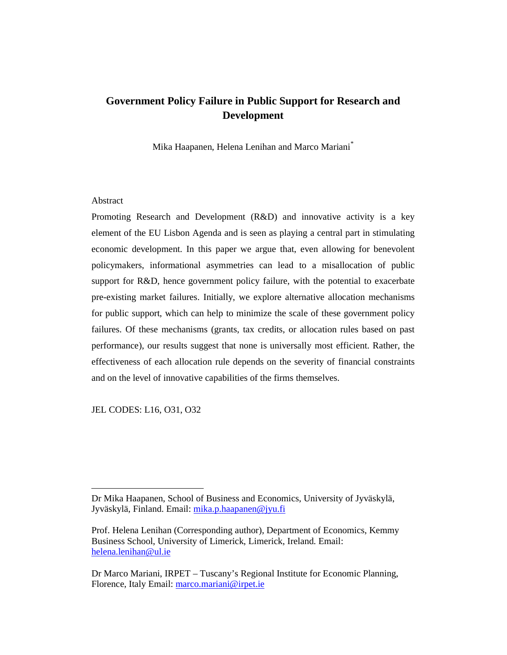# **Government Policy Failure in Public Support for Research and Development**

Mika Haapanen, Helena Lenihan and Marco Mariani\*

# Abstract

Promoting Research and Development (R&D) and innovative activity is a key element of the EU Lisbon Agenda and is seen as playing a central part in stimulating economic development. In this paper we argue that, even allowing for benevolent policymakers, informational asymmetries can lead to a misallocation of public support for R&D, hence government policy failure, with the potential to exacerbate pre-existing market failures. Initially, we explore alternative allocation mechanisms for public support, which can help to minimize the scale of these government policy failures. Of these mechanisms (grants, tax credits, or allocation rules based on past performance), our results suggest that none is universally most efficient. Rather, the effectiveness of each allocation rule depends on the severity of financial constraints and on the level of innovative capabilities of the firms themselves.

JEL CODES: L16, O31, O32

Dr Mika Haapanen, School of Business and Economics, University of Jyväskylä, Jyväskylä, Finland. Email: mika.p.haapanen@jyu.fi

Prof. Helena Lenihan (Corresponding author), Department of Economics, Kemmy Business School, University of Limerick, Limerick, Ireland. Email: helena.lenihan@ul.ie

Dr Marco Mariani, IRPET – Tuscany's Regional Institute for Economic Planning, Florence, Italy Email: marco.mariani@irpet.ie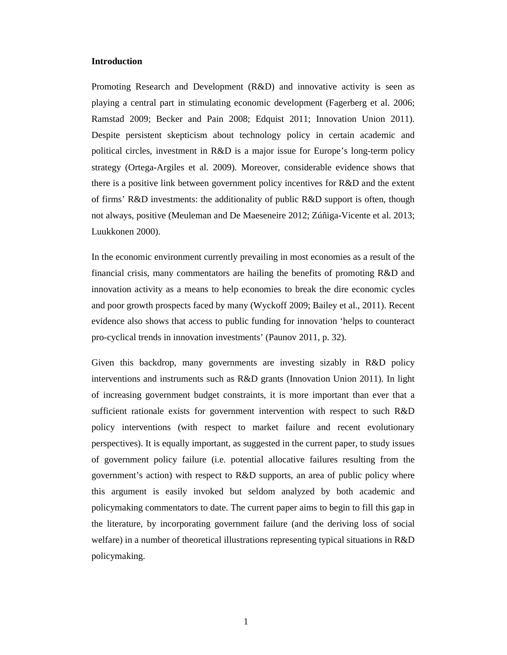## **Introduction**

Promoting Research and Development (R&D) and innovative activity is seen as playing a central part in stimulating economic development (Fagerberg et al. 2006; Ramstad 2009; Becker and Pain 2008; Edquist 2011; Innovation Union 2011). Despite persistent skepticism about technology policy in certain academic and political circles, investment in R&D is a major issue for Europe's long-term policy strategy (Ortega-Argiles et al. 2009). Moreover, considerable evidence shows that there is a positive link between government policy incentives for R&D and the extent of firms' R&D investments: the additionality of public R&D support is often, though not always, positive (Meuleman and De Maeseneire 2012; Zúñiga-Vicente et al. 2013; Luukkonen 2000).

In the economic environment currently prevailing in most economies as a result of the financial crisis, many commentators are hailing the benefits of promoting R&D and innovation activity as a means to help economies to break the dire economic cycles and poor growth prospects faced by many (Wyckoff 2009; Bailey et al., 2011). Recent evidence also shows that access to public funding for innovation 'helps to counteract pro-cyclical trends in innovation investments' (Paunov 2011, p. 32).

Given this backdrop, many governments are investing sizably in R&D policy interventions and instruments such as R&D grants (Innovation Union 2011). In light of increasing government budget constraints, it is more important than ever that a sufficient rationale exists for government intervention with respect to such R&D policy interventions (with respect to market failure and recent evolutionary perspectives). It is equally important, as suggested in the current paper, to study issues of government policy failure (i.e. potential allocative failures resulting from the government's action) with respect to R&D supports, an area of public policy where this argument is easily invoked but seldom analyzed by both academic and policymaking commentators to date. The current paper aims to begin to fill this gap in the literature, by incorporating government failure (and the deriving loss of social welfare) in a number of theoretical illustrations representing typical situations in R&D policymaking.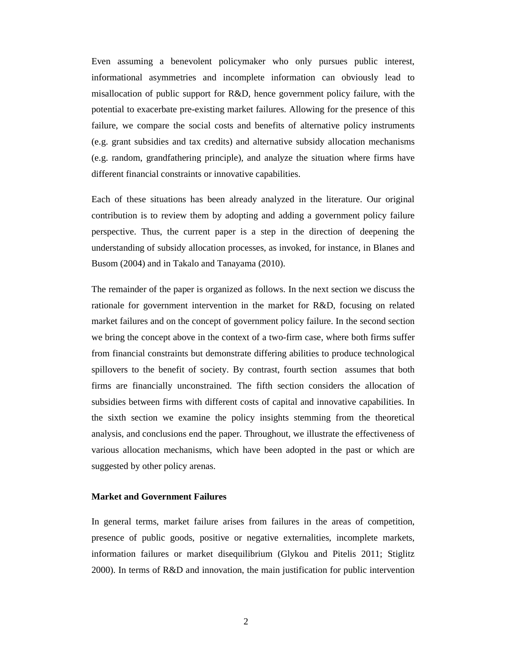Even assuming a benevolent policymaker who only pursues public interest, informational asymmetries and incomplete information can obviously lead to misallocation of public support for R&D, hence government policy failure, with the potential to exacerbate pre-existing market failures. Allowing for the presence of this failure, we compare the social costs and benefits of alternative policy instruments (e.g. grant subsidies and tax credits) and alternative subsidy allocation mechanisms (e.g. random, grandfathering principle), and analyze the situation where firms have different financial constraints or innovative capabilities.

Each of these situations has been already analyzed in the literature. Our original contribution is to review them by adopting and adding a government policy failure perspective. Thus, the current paper is a step in the direction of deepening the understanding of subsidy allocation processes, as invoked, for instance, in Blanes and Busom (2004) and in Takalo and Tanayama (2010).

The remainder of the paper is organized as follows. In the next section we discuss the rationale for government intervention in the market for R&D, focusing on related market failures and on the concept of government policy failure. In the second section we bring the concept above in the context of a two-firm case, where both firms suffer from financial constraints but demonstrate differing abilities to produce technological spillovers to the benefit of society. By contrast, fourth section assumes that both firms are financially unconstrained. The fifth section considers the allocation of subsidies between firms with different costs of capital and innovative capabilities. In the sixth section we examine the policy insights stemming from the theoretical analysis, and conclusions end the paper. Throughout, we illustrate the effectiveness of various allocation mechanisms, which have been adopted in the past or which are suggested by other policy arenas.

# **Market and Government Failures**

In general terms, market failure arises from failures in the areas of competition, presence of public goods, positive or negative externalities, incomplete markets, information failures or market disequilibrium (Glykou and Pitelis 2011; Stiglitz 2000). In terms of R&D and innovation, the main justification for public intervention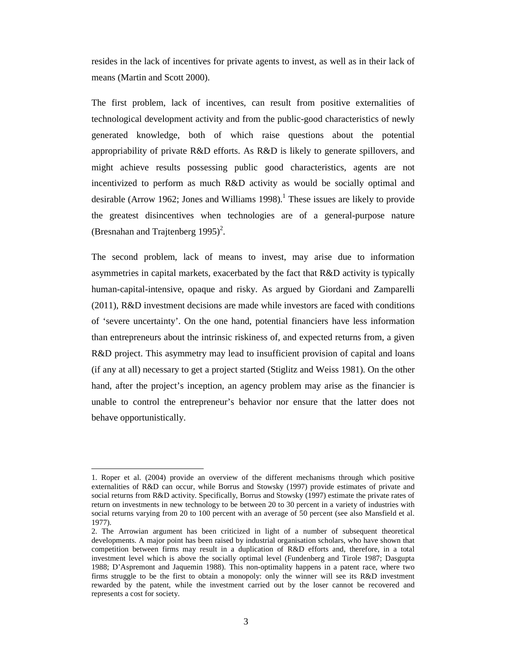resides in the lack of incentives for private agents to invest, as well as in their lack of means (Martin and Scott 2000).

The first problem, lack of incentives, can result from positive externalities of technological development activity and from the public-good characteristics of newly generated knowledge, both of which raise questions about the potential appropriability of private R&D efforts. As R&D is likely to generate spillovers, and might achieve results possessing public good characteristics, agents are not incentivized to perform as much R&D activity as would be socially optimal and desirable (Arrow 1962; Jones and Williams 1998).<sup>1</sup> These issues are likely to provide the greatest disincentives when technologies are of a general-purpose nature (Bresnahan and Trajtenberg  $1995$ )<sup>2</sup>.

The second problem, lack of means to invest, may arise due to information asymmetries in capital markets, exacerbated by the fact that R&D activity is typically human-capital-intensive, opaque and risky. As argued by Giordani and Zamparelli (2011), R&D investment decisions are made while investors are faced with conditions of 'severe uncertainty'. On the one hand, potential financiers have less information than entrepreneurs about the intrinsic riskiness of, and expected returns from, a given R&D project. This asymmetry may lead to insufficient provision of capital and loans (if any at all) necessary to get a project started (Stiglitz and Weiss 1981). On the other hand, after the project's inception, an agency problem may arise as the financier is unable to control the entrepreneur's behavior nor ensure that the latter does not behave opportunistically.

<sup>1.</sup> Roper et al. (2004) provide an overview of the different mechanisms through which positive externalities of R&D can occur, while Borrus and Stowsky (1997) provide estimates of private and social returns from R&D activity. Specifically, Borrus and Stowsky (1997) estimate the private rates of return on investments in new technology to be between 20 to 30 percent in a variety of industries with social returns varying from 20 to 100 percent with an average of 50 percent (see also Mansfield et al. 1977).

<sup>2.</sup> The Arrowian argument has been criticized in light of a number of subsequent theoretical developments. A major point has been raised by industrial organisation scholars, who have shown that competition between firms may result in a duplication of R&D efforts and, therefore, in a total investment level which is above the socially optimal level (Fundenberg and Tirole 1987; Dasgupta 1988; D'Aspremont and Jaquemin 1988). This non-optimality happens in a patent race, where two firms struggle to be the first to obtain a monopoly: only the winner will see its R&D investment rewarded by the patent, while the investment carried out by the loser cannot be recovered and represents a cost for society.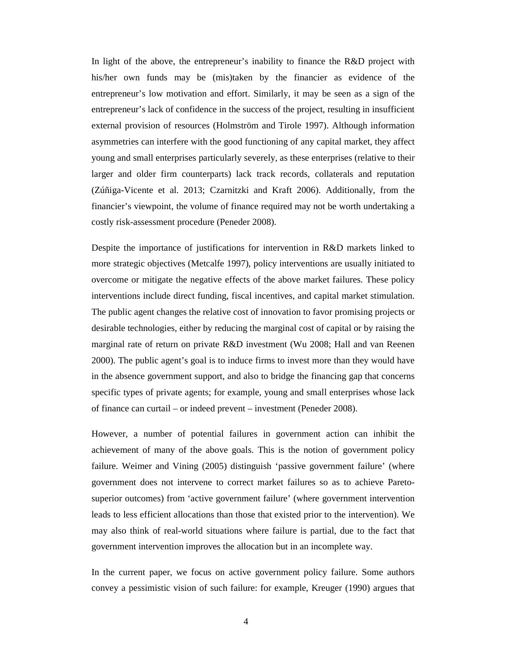In light of the above, the entrepreneur's inability to finance the R&D project with his/her own funds may be (mis)taken by the financier as evidence of the entrepreneur's low motivation and effort. Similarly, it may be seen as a sign of the entrepreneur's lack of confidence in the success of the project, resulting in insufficient external provision of resources (Holmström and Tirole 1997). Although information asymmetries can interfere with the good functioning of any capital market, they affect young and small enterprises particularly severely, as these enterprises (relative to their larger and older firm counterparts) lack track records, collaterals and reputation (Zúñiga-Vicente et al. 2013; Czarnitzki and Kraft 2006). Additionally, from the financier's viewpoint, the volume of finance required may not be worth undertaking a costly risk-assessment procedure (Peneder 2008).

Despite the importance of justifications for intervention in R&D markets linked to more strategic objectives (Metcalfe 1997), policy interventions are usually initiated to overcome or mitigate the negative effects of the above market failures. These policy interventions include direct funding, fiscal incentives, and capital market stimulation. The public agent changes the relative cost of innovation to favor promising projects or desirable technologies, either by reducing the marginal cost of capital or by raising the marginal rate of return on private R&D investment (Wu 2008; Hall and van Reenen 2000). The public agent's goal is to induce firms to invest more than they would have in the absence government support, and also to bridge the financing gap that concerns specific types of private agents; for example, young and small enterprises whose lack of finance can curtail – or indeed prevent – investment (Peneder 2008).

However, a number of potential failures in government action can inhibit the achievement of many of the above goals. This is the notion of government policy failure. Weimer and Vining (2005) distinguish 'passive government failure' (where government does not intervene to correct market failures so as to achieve Paretosuperior outcomes) from 'active government failure' (where government intervention leads to less efficient allocations than those that existed prior to the intervention). We may also think of real-world situations where failure is partial, due to the fact that government intervention improves the allocation but in an incomplete way.

In the current paper, we focus on active government policy failure. Some authors convey a pessimistic vision of such failure: for example, Kreuger (1990) argues that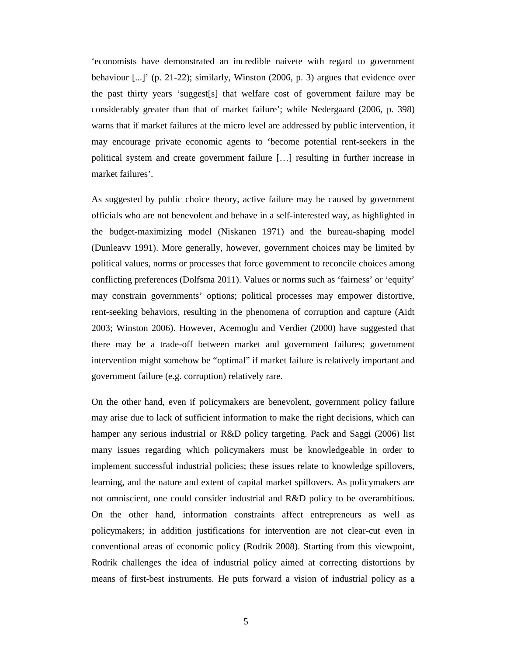'economists have demonstrated an incredible naivete with regard to government behaviour [...]' (p. 21-22); similarly, Winston (2006, p. 3) argues that evidence over the past thirty years 'suggest[s] that welfare cost of government failure may be considerably greater than that of market failure'; while Nedergaard (2006, p. 398) warns that if market failures at the micro level are addressed by public intervention, it may encourage private economic agents to 'become potential rent-seekers in the political system and create government failure […] resulting in further increase in market failures'.

As suggested by public choice theory, active failure may be caused by government officials who are not benevolent and behave in a self-interested way, as highlighted in the budget-maximizing model (Niskanen 1971) and the bureau-shaping model (Dunleavv 1991). More generally, however, government choices may be limited by political values, norms or processes that force government to reconcile choices among conflicting preferences (Dolfsma 2011). Values or norms such as 'fairness' or 'equity' may constrain governments' options; political processes may empower distortive, rent-seeking behaviors, resulting in the phenomena of corruption and capture (Aidt 2003; Winston 2006). However, Acemoglu and Verdier (2000) have suggested that there may be a trade-off between market and government failures; government intervention might somehow be "optimal" if market failure is relatively important and government failure (e.g. corruption) relatively rare.

On the other hand, even if policymakers are benevolent, government policy failure may arise due to lack of sufficient information to make the right decisions, which can hamper any serious industrial or R&D policy targeting. Pack and Saggi (2006) list many issues regarding which policymakers must be knowledgeable in order to implement successful industrial policies; these issues relate to knowledge spillovers, learning, and the nature and extent of capital market spillovers. As policymakers are not omniscient, one could consider industrial and R&D policy to be overambitious. On the other hand, information constraints affect entrepreneurs as well as policymakers; in addition justifications for intervention are not clear-cut even in conventional areas of economic policy (Rodrik 2008). Starting from this viewpoint, Rodrik challenges the idea of industrial policy aimed at correcting distortions by means of first-best instruments. He puts forward a vision of industrial policy as a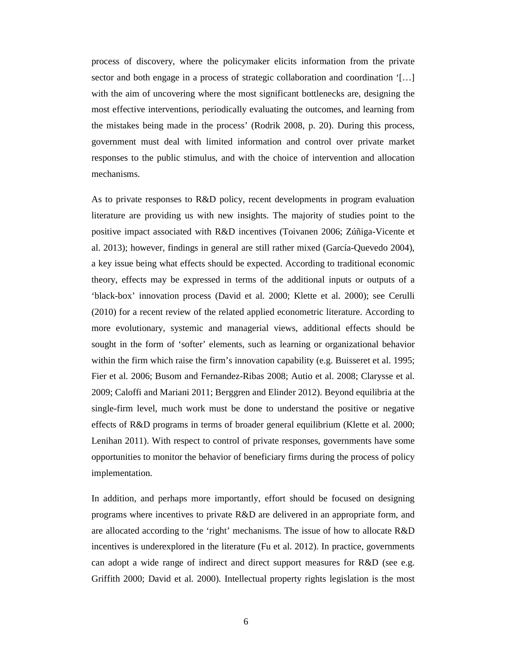process of discovery, where the policymaker elicits information from the private sector and both engage in a process of strategic collaboration and coordination '[…] with the aim of uncovering where the most significant bottlenecks are, designing the most effective interventions, periodically evaluating the outcomes, and learning from the mistakes being made in the process' (Rodrik 2008, p. 20). During this process, government must deal with limited information and control over private market responses to the public stimulus, and with the choice of intervention and allocation mechanisms.

As to private responses to R&D policy, recent developments in program evaluation literature are providing us with new insights. The majority of studies point to the positive impact associated with R&D incentives (Toivanen 2006; Zúñiga-Vicente et al. 2013); however, findings in general are still rather mixed (García-Quevedo 2004), a key issue being what effects should be expected. According to traditional economic theory, effects may be expressed in terms of the additional inputs or outputs of a 'black-box' innovation process (David et al. 2000; Klette et al. 2000); see Cerulli (2010) for a recent review of the related applied econometric literature. According to more evolutionary, systemic and managerial views, additional effects should be sought in the form of 'softer' elements, such as learning or organizational behavior within the firm which raise the firm's innovation capability (e.g. Buisseret et al. 1995; Fier et al. 2006; Busom and Fernandez-Ribas 2008; Autio et al. 2008; Clarysse et al. 2009; Caloffi and Mariani 2011; Berggren and Elinder 2012). Beyond equilibria at the single-firm level, much work must be done to understand the positive or negative effects of R&D programs in terms of broader general equilibrium (Klette et al. 2000; Lenihan 2011). With respect to control of private responses, governments have some opportunities to monitor the behavior of beneficiary firms during the process of policy implementation.

In addition, and perhaps more importantly, effort should be focused on designing programs where incentives to private R&D are delivered in an appropriate form, and are allocated according to the 'right' mechanisms. The issue of how to allocate R&D incentives is underexplored in the literature (Fu et al. 2012). In practice, governments can adopt a wide range of indirect and direct support measures for R&D (see e.g. Griffith 2000; David et al. 2000). Intellectual property rights legislation is the most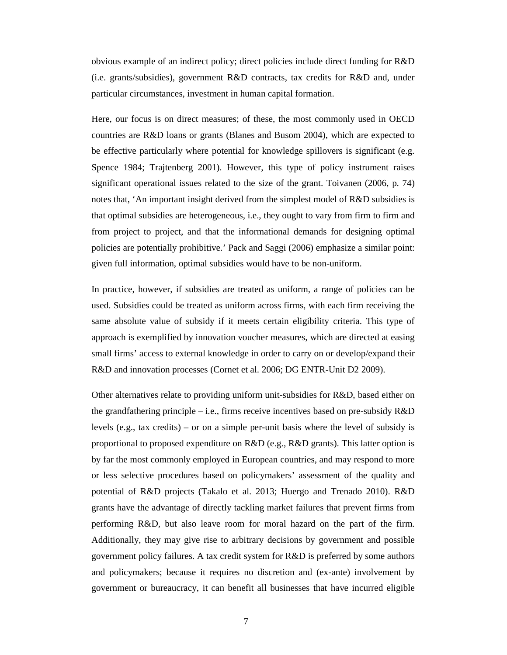obvious example of an indirect policy; direct policies include direct funding for R&D (i.e. grants/subsidies), government R&D contracts, tax credits for R&D and, under particular circumstances, investment in human capital formation.

Here, our focus is on direct measures; of these, the most commonly used in OECD countries are R&D loans or grants (Blanes and Busom 2004), which are expected to be effective particularly where potential for knowledge spillovers is significant (e.g. Spence 1984; Trajtenberg 2001). However, this type of policy instrument raises significant operational issues related to the size of the grant. Toivanen (2006, p. 74) notes that, 'An important insight derived from the simplest model of R&D subsidies is that optimal subsidies are heterogeneous, i.e., they ought to vary from firm to firm and from project to project, and that the informational demands for designing optimal policies are potentially prohibitive.' Pack and Saggi (2006) emphasize a similar point: given full information, optimal subsidies would have to be non-uniform.

In practice, however, if subsidies are treated as uniform, a range of policies can be used. Subsidies could be treated as uniform across firms, with each firm receiving the same absolute value of subsidy if it meets certain eligibility criteria. This type of approach is exemplified by innovation voucher measures, which are directed at easing small firms' access to external knowledge in order to carry on or develop/expand their R&D and innovation processes (Cornet et al. 2006; DG ENTR-Unit D2 2009).

Other alternatives relate to providing uniform unit-subsidies for R&D, based either on the grandfathering principle – i.e., firms receive incentives based on pre-subsidy R&D levels (e.g., tax credits) – or on a simple per-unit basis where the level of subsidy is proportional to proposed expenditure on R&D (e.g., R&D grants). This latter option is by far the most commonly employed in European countries, and may respond to more or less selective procedures based on policymakers' assessment of the quality and potential of R&D projects (Takalo et al. 2013; Huergo and Trenado 2010). R&D grants have the advantage of directly tackling market failures that prevent firms from performing R&D, but also leave room for moral hazard on the part of the firm. Additionally, they may give rise to arbitrary decisions by government and possible government policy failures. A tax credit system for R&D is preferred by some authors and policymakers; because it requires no discretion and (ex-ante) involvement by government or bureaucracy, it can benefit all businesses that have incurred eligible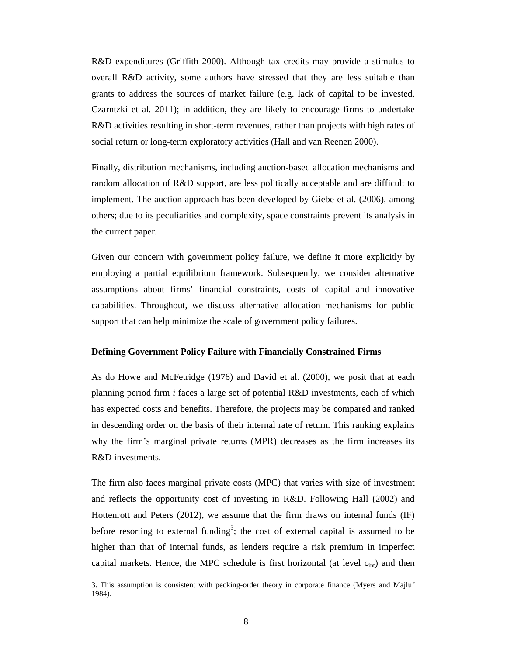R&D expenditures (Griffith 2000). Although tax credits may provide a stimulus to overall R&D activity, some authors have stressed that they are less suitable than grants to address the sources of market failure (e.g. lack of capital to be invested, Czarntzki et al. 2011); in addition, they are likely to encourage firms to undertake R&D activities resulting in short-term revenues, rather than projects with high rates of social return or long-term exploratory activities (Hall and van Reenen 2000).

Finally, distribution mechanisms, including auction-based allocation mechanisms and random allocation of R&D support, are less politically acceptable and are difficult to implement. The auction approach has been developed by Giebe et al. (2006), among others; due to its peculiarities and complexity, space constraints prevent its analysis in the current paper.

Given our concern with government policy failure, we define it more explicitly by employing a partial equilibrium framework. Subsequently, we consider alternative assumptions about firms' financial constraints, costs of capital and innovative capabilities. Throughout, we discuss alternative allocation mechanisms for public support that can help minimize the scale of government policy failures.

#### **Defining Government Policy Failure with Financially Constrained Firms**

As do Howe and McFetridge (1976) and David et al. (2000), we posit that at each planning period firm *i* faces a large set of potential R&D investments, each of which has expected costs and benefits. Therefore, the projects may be compared and ranked in descending order on the basis of their internal rate of return. This ranking explains why the firm's marginal private returns (MPR) decreases as the firm increases its R&D investments.

The firm also faces marginal private costs (MPC) that varies with size of investment and reflects the opportunity cost of investing in R&D. Following Hall (2002) and Hottenrott and Peters (2012), we assume that the firm draws on internal funds (IF) before resorting to external funding<sup>3</sup>; the cost of external capital is assumed to be higher than that of internal funds, as lenders require a risk premium in imperfect capital markets. Hence, the MPC schedule is first horizontal (at level  $c<sub>int</sub>$ ) and then

<sup>3.</sup> This assumption is consistent with pecking-order theory in corporate finance (Myers and Majluf 1984).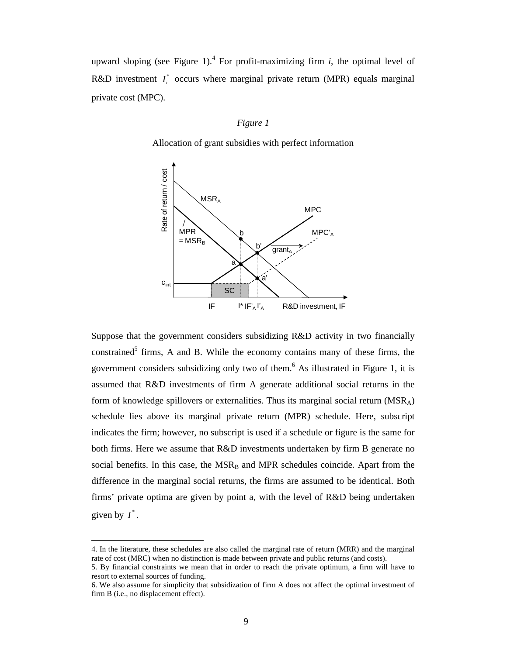upward sloping (see Figure 1).<sup>4</sup> For profit-maximizing firm  $i$ , the optimal level of R&D investment  $I_i^*$  occurs where marginal private return (MPR) equals marginal private cost (MPC).

## *Figure 1*

Allocation of grant subsidies with perfect information



Suppose that the government considers subsidizing R&D activity in two financially constrained<sup>5</sup> firms, A and B. While the economy contains many of these firms, the government considers subsidizing only two of them.<sup>6</sup> As illustrated in Figure 1, it is assumed that R&D investments of firm A generate additional social returns in the form of knowledge spillovers or externalities. Thus its marginal social return  $(MSR_A)$ schedule lies above its marginal private return (MPR) schedule. Here, subscript indicates the firm; however, no subscript is used if a schedule or figure is the same for both firms. Here we assume that R&D investments undertaken by firm B generate no social benefits. In this case, the  $MSR<sub>B</sub>$  and MPR schedules coincide. Apart from the difference in the marginal social returns, the firms are assumed to be identical. Both firms' private optima are given by point a, with the level of R&D being undertaken given by  $I^*$ .

<sup>4.</sup> In the literature, these schedules are also called the marginal rate of return (MRR) and the marginal rate of cost (MRC) when no distinction is made between private and public returns (and costs).

<sup>5.</sup> By financial constraints we mean that in order to reach the private optimum, a firm will have to resort to external sources of funding.

<sup>6.</sup> We also assume for simplicity that subsidization of firm A does not affect the optimal investment of firm B (i.e., no displacement effect).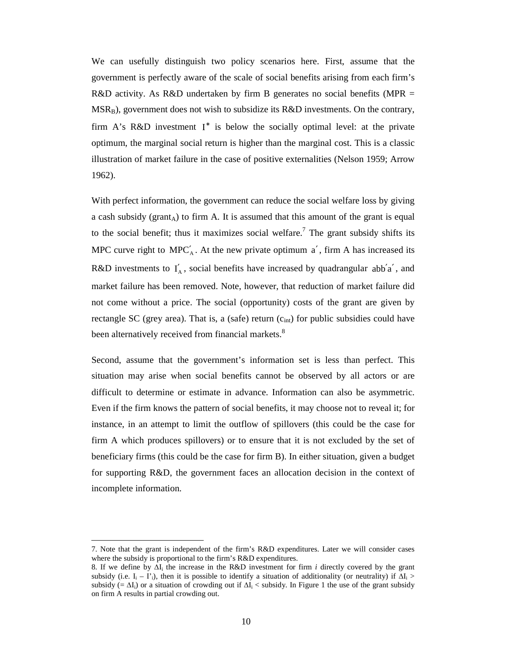We can usefully distinguish two policy scenarios here. First, assume that the government is perfectly aware of the scale of social benefits arising from each firm's R&D activity. As R&D undertaken by firm B generates no social benefits (MPR =  $MSR<sub>B</sub>$ ), government does not wish to subsidize its R&D investments. On the contrary, firm A's R&D investment  $I^*$  is below the socially optimal level: at the private optimum, the marginal social return is higher than the marginal cost. This is a classic illustration of market failure in the case of positive externalities (Nelson 1959; Arrow 1962).

With perfect information, the government can reduce the social welfare loss by giving a cash subsidy (grant<sub>A</sub>) to firm A. It is assumed that this amount of the grant is equal to the social benefit; thus it maximizes social welfare.<sup>7</sup> The grant subsidy shifts its MPC curve right to MPC $'_{A}$ . At the new private optimum a', firm A has increased its R&D investments to  $I'_{A}$ , social benefits have increased by quadrangular abb'a', and market failure has been removed. Note, however, that reduction of market failure did not come without a price. The social (opportunity) costs of the grant are given by rectangle SC (grey area). That is, a (safe) return  $(c<sub>int</sub>)$  for public subsidies could have been alternatively received from financial markets.<sup>8</sup>

Second, assume that the government's information set is less than perfect. This situation may arise when social benefits cannot be observed by all actors or are difficult to determine or estimate in advance. Information can also be asymmetric. Even if the firm knows the pattern of social benefits, it may choose not to reveal it; for instance, in an attempt to limit the outflow of spillovers (this could be the case for firm A which produces spillovers) or to ensure that it is not excluded by the set of beneficiary firms (this could be the case for firm B). In either situation, given a budget for supporting R&D, the government faces an allocation decision in the context of incomplete information.

<sup>7.</sup> Note that the grant is independent of the firm's R&D expenditures. Later we will consider cases where the subsidy is proportional to the firm's R&D expenditures.

<sup>8.</sup> If we define by  $\Delta I_i$  the increase in the R&D investment for firm *i* directly covered by the grant subsidy (i.e.  $I_i - I'_{i}$ ), then it is possible to identify a situation of additionality (or neutrality) if  $\Delta I_i$  > subsidy (=  $\Delta I_i$ ) or a situation of crowding out if  $\Delta I_i$  < subsidy. In Figure 1 the use of the grant subsidy on firm A results in partial crowding out.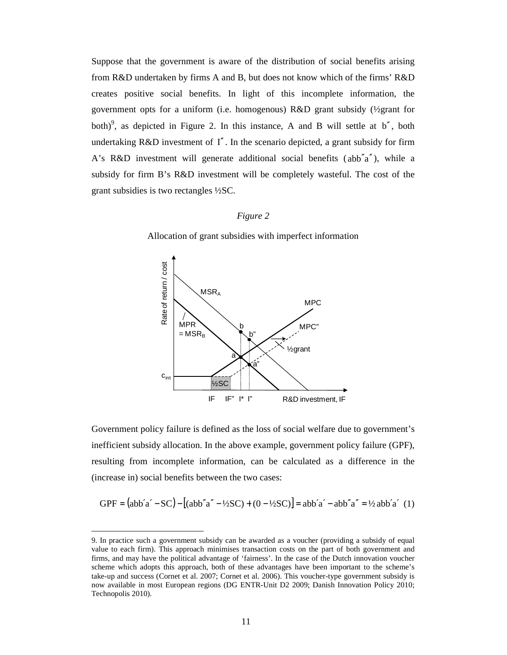Suppose that the government is aware of the distribution of social benefits arising from R&D undertaken by firms A and B, but does not know which of the firms' R&D creates positive social benefits. In light of this incomplete information, the government opts for a uniform (i.e. homogenous) R&D grant subsidy (½grant for both)<sup>9</sup>, as depicted in Figure 2. In this instance, A and B will settle at  $b''$ , both undertaking  $R&D$  investment of  $I^{\prime}$ . In the scenario depicted, a grant subsidy for firm A's R&D investment will generate additional social benefits ( $ab''a''$ ), while a subsidy for firm B's R&D investment will be completely wasteful. The cost of the grant subsidies is two rectangles ½SC.

## *Figure 2*

Allocation of grant subsidies with imperfect information



Government policy failure is defined as the loss of social welfare due to government's inefficient subsidy allocation. In the above example, government policy failure (GPF), resulting from incomplete information, can be calculated as a difference in the (increase in) social benefits between the two cases:

$$
GPF = (abb'a' - SC) - [(abb''a'' - \frac{1}{2}SC) + (0 - \frac{1}{2}SC)] = abb'a' - abb''a'' = \frac{1}{2}abb'a' (1)
$$

<u>.</u>

<sup>9.</sup> In practice such a government subsidy can be awarded as a voucher (providing a subsidy of equal value to each firm). This approach minimises transaction costs on the part of both government and firms, and may have the political advantage of 'fairness'. In the case of the Dutch innovation voucher scheme which adopts this approach, both of these advantages have been important to the scheme's take-up and success (Cornet et al. 2007; Cornet et al. 2006). This voucher-type government subsidy is now available in most European regions (DG ENTR-Unit D2 2009; Danish Innovation Policy 2010; Technopolis 2010).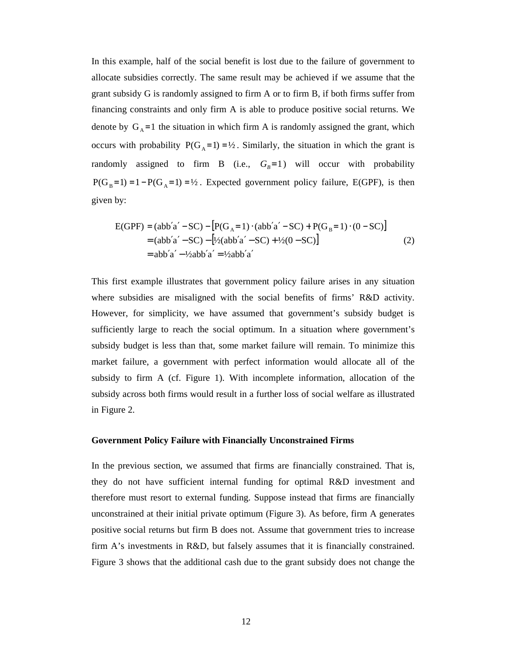In this example, half of the social benefit is lost due to the failure of government to allocate subsidies correctly. The same result may be achieved if we assume that the grant subsidy G is randomly assigned to firm A or to firm B, if both firms suffer from financing constraints and only firm A is able to produce positive social returns. We denote by  $G_A=1$  the situation in which firm A is randomly assigned the grant, which occurs with probability  $P(G_A = 1) = \frac{1}{2}$ . Similarly, the situation in which the grant is randomly assigned to firm B (i.e.,  $G<sub>B</sub>=1$ ) will occur with probability  $P(G_B=1) = 1 - P(G_A=1) = \frac{1}{2}$ . Expected government policy failure, E(GPF), is then given by:

$$
E(GPF) = (abb'a' - SC) - [P(G_A = 1) \cdot (abb'a' - SC) + P(G_B = 1) \cdot (0 - SC)]
$$
  
= (abb'a' - SC) - [½(abb'a' - SC) + ½(0 - SC)]  
= abb'a' - ½abb'a' = ½abb'a' (2)

This first example illustrates that government policy failure arises in any situation where subsidies are misaligned with the social benefits of firms' R&D activity. However, for simplicity, we have assumed that government's subsidy budget is sufficiently large to reach the social optimum. In a situation where government's subsidy budget is less than that, some market failure will remain. To minimize this market failure, a government with perfect information would allocate all of the subsidy to firm A (cf. Figure 1). With incomplete information, allocation of the subsidy across both firms would result in a further loss of social welfare as illustrated in Figure 2.

#### **Government Policy Failure with Financially Unconstrained Firms**

In the previous section, we assumed that firms are financially constrained. That is, they do not have sufficient internal funding for optimal R&D investment and therefore must resort to external funding. Suppose instead that firms are financially unconstrained at their initial private optimum (Figure 3). As before, firm A generates positive social returns but firm B does not. Assume that government tries to increase firm A's investments in R&D, but falsely assumes that it is financially constrained. Figure 3 shows that the additional cash due to the grant subsidy does not change the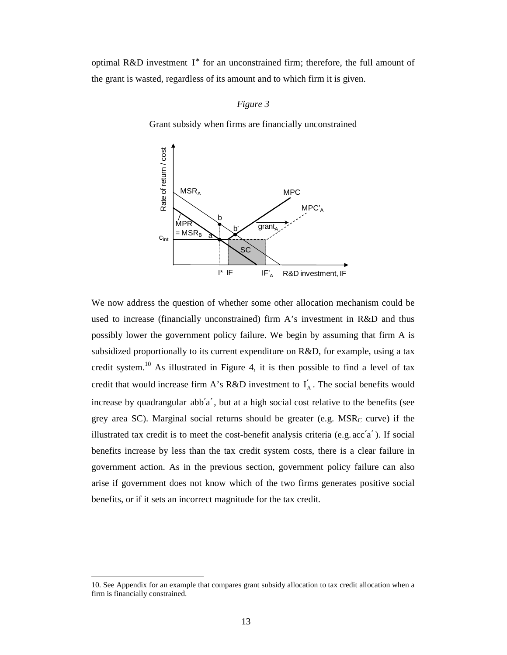optimal R&D investment I<sup>\*</sup> for an unconstrained firm; therefore, the full amount of the grant is wasted, regardless of its amount and to which firm it is given.

# *Figure 3*

Grant subsidy when firms are financially unconstrained



We now address the question of whether some other allocation mechanism could be used to increase (financially unconstrained) firm A's investment in R&D and thus possibly lower the government policy failure. We begin by assuming that firm A is subsidized proportionally to its current expenditure on R&D, for example, using a tax credit system.<sup>10</sup> As illustrated in Figure 4, it is then possible to find a level of tax credit that would increase firm A's R&D investment to  $I'_{A}$ . The social benefits would increase by quadrangular abb'a', but at a high social cost relative to the benefits (see grey area SC). Marginal social returns should be greater (e.g. MSR<sub>C</sub> curve) if the illustrated tax credit is to meet the cost-benefit analysis criteria (e.g.  $\arccos' a'$ ). If social benefits increase by less than the tax credit system costs, there is a clear failure in government action. As in the previous section, government policy failure can also arise if government does not know which of the two firms generates positive social benefits, or if it sets an incorrect magnitude for the tax credit.

<u>.</u>

<sup>10.</sup> See Appendix for an example that compares grant subsidy allocation to tax credit allocation when a firm is financially constrained.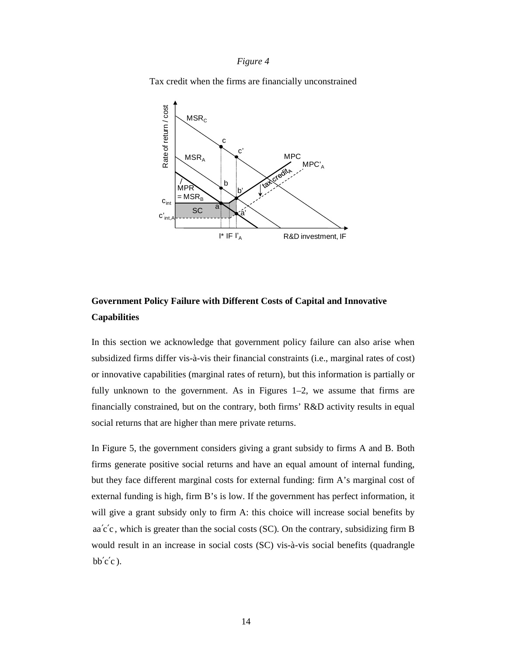## *Figure 4*

Tax credit when the firms are financially unconstrained



# **Government Policy Failure with Different Costs of Capital and Innovative Capabilities**

In this section we acknowledge that government policy failure can also arise when subsidized firms differ vis-à-vis their financial constraints (i.e., marginal rates of cost) or innovative capabilities (marginal rates of return), but this information is partially or fully unknown to the government. As in Figures 1–2, we assume that firms are financially constrained, but on the contrary, both firms' R&D activity results in equal social returns that are higher than mere private returns.

In Figure 5, the government considers giving a grant subsidy to firms A and B. Both firms generate positive social returns and have an equal amount of internal funding, but they face different marginal costs for external funding: firm A's marginal cost of external funding is high, firm B's is low. If the government has perfect information, it will give a grant subsidy only to firm A: this choice will increase social benefits by  $aa'c'c$ , which is greater than the social costs (SC). On the contrary, subsidizing firm B would result in an increase in social costs (SC) vis-à-vis social benefits (quadrangle  $bb'c'c$ ).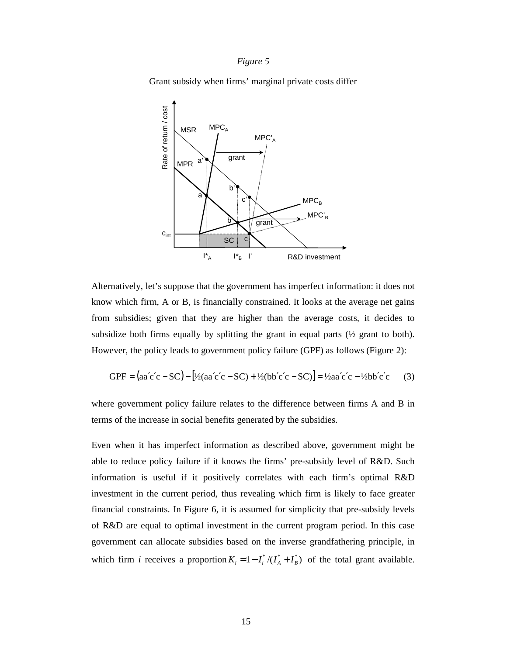# *Figure 5*

Grant subsidy when firms' marginal private costs differ



Alternatively, let's suppose that the government has imperfect information: it does not know which firm, A or B, is financially constrained. It looks at the average net gains from subsidies; given that they are higher than the average costs, it decides to subsidize both firms equally by splitting the grant in equal parts  $(\frac{1}{2})$  grant to both). However, the policy leads to government policy failure (GPF) as follows (Figure 2):

$$
GPF = (aa'c'c - SC) - [1/2(aa'c'c - SC) + 1/(bb'c'c - SC)] = 1/2aa'c'c - 1/2bb'c'c
$$
 (3)

where government policy failure relates to the difference between firms A and B in terms of the increase in social benefits generated by the subsidies.

Even when it has imperfect information as described above, government might be able to reduce policy failure if it knows the firms' pre-subsidy level of R&D. Such information is useful if it positively correlates with each firm's optimal R&D investment in the current period, thus revealing which firm is likely to face greater financial constraints. In Figure 6, it is assumed for simplicity that pre-subsidy levels of R&D are equal to optimal investment in the current program period. In this case government can allocate subsidies based on the inverse grandfathering principle, in which firm *i* receives a proportion  $K_i = 1 - I_i^* / (I_A^* + I_B^*)$  of the total grant available.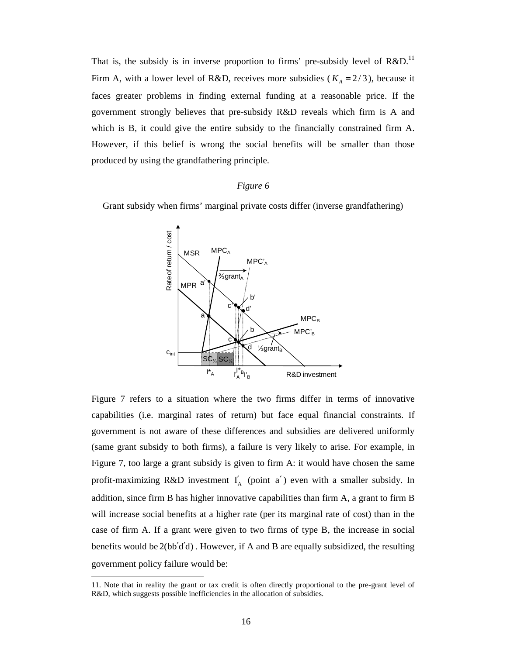That is, the subsidy is in inverse proportion to firms' pre-subsidy level of  $R&D$ .<sup>11</sup> Firm A, with a lower level of R&D, receives more subsidies ( $K_A = 2/3$ ), because it faces greater problems in finding external funding at a reasonable price. If the government strongly believes that pre-subsidy R&D reveals which firm is A and which is B, it could give the entire subsidy to the financially constrained firm A. However, if this belief is wrong the social benefits will be smaller than those produced by using the grandfathering principle.

## *Figure 6*

Grant subsidy when firms' marginal private costs differ (inverse grandfathering)



Figure 7 refers to a situation where the two firms differ in terms of innovative capabilities (i.e. marginal rates of return) but face equal financial constraints. If government is not aware of these differences and subsidies are delivered uniformly (same grant subsidy to both firms), a failure is very likely to arise. For example, in Figure 7, too large a grant subsidy is given to firm A: it would have chosen the same profit-maximizing R&D investment  $I'_{A}$  (point a') even with a smaller subsidy. In addition, since firm B has higher innovative capabilities than firm A, a grant to firm B will increase social benefits at a higher rate (per its marginal rate of cost) than in the case of firm A. If a grant were given to two firms of type B, the increase in social benefits would be  $2(bb'd'd)$ . However, if A and B are equally subsidized, the resulting government policy failure would be:

<sup>11.</sup> Note that in reality the grant or tax credit is often directly proportional to the pre-grant level of R&D, which suggests possible inefficiencies in the allocation of subsidies.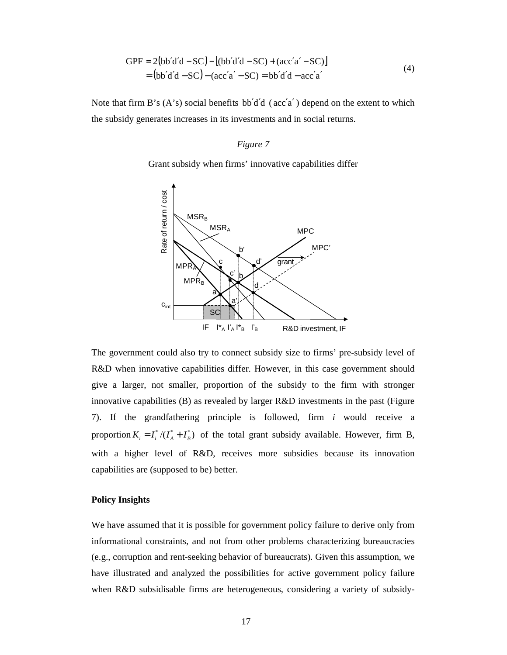$$
GPF = 2(bb'd'd - SC) - [(bb'd'd - SC) + (acc'a' - SC)]
$$
  
= (bb'd'd - SC) - (acc'a' - SC) = bb'd'd - acc'a' (4)

Note that firm B's (A's) social benefits  $bbd'd$  (acc'a') depend on the extent to which the subsidy generates increases in its investments and in social returns.

## *Figure 7*

Grant subsidy when firms' innovative capabilities differ



The government could also try to connect subsidy size to firms' pre-subsidy level of R&D when innovative capabilities differ. However, in this case government should give a larger, not smaller, proportion of the subsidy to the firm with stronger innovative capabilities  $(B)$  as revealed by larger  $R&D$  investments in the past (Figure 7). If the grandfathering principle is followed, firm *i* would receive a proportion  $K_i = I_i^* / (I_A^* + I_B^*)$  of the total grant subsidy available. However, firm B, with a higher level of R&D, receives more subsidies because its innovation capabilities are (supposed to be) better.

## **Policy Insights**

We have assumed that it is possible for government policy failure to derive only from informational constraints, and not from other problems characterizing bureaucracies (e.g., corruption and rent-seeking behavior of bureaucrats). Given this assumption, we have illustrated and analyzed the possibilities for active government policy failure when R&D subsidisable firms are heterogeneous, considering a variety of subsidy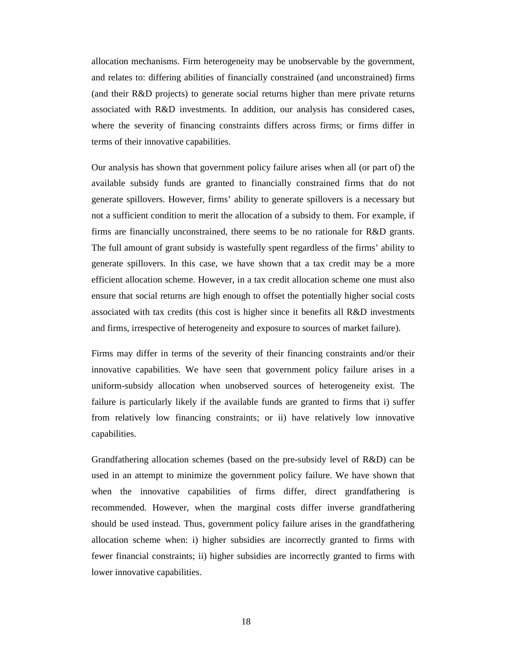allocation mechanisms. Firm heterogeneity may be unobservable by the government, and relates to: differing abilities of financially constrained (and unconstrained) firms (and their R&D projects) to generate social returns higher than mere private returns associated with R&D investments. In addition, our analysis has considered cases, where the severity of financing constraints differs across firms; or firms differ in terms of their innovative capabilities.

Our analysis has shown that government policy failure arises when all (or part of) the available subsidy funds are granted to financially constrained firms that do not generate spillovers. However, firms' ability to generate spillovers is a necessary but not a sufficient condition to merit the allocation of a subsidy to them. For example, if firms are financially unconstrained, there seems to be no rationale for R&D grants. The full amount of grant subsidy is wastefully spent regardless of the firms' ability to generate spillovers. In this case, we have shown that a tax credit may be a more efficient allocation scheme. However, in a tax credit allocation scheme one must also ensure that social returns are high enough to offset the potentially higher social costs associated with tax credits (this cost is higher since it benefits all R&D investments and firms, irrespective of heterogeneity and exposure to sources of market failure).

Firms may differ in terms of the severity of their financing constraints and/or their innovative capabilities. We have seen that government policy failure arises in a uniform-subsidy allocation when unobserved sources of heterogeneity exist. The failure is particularly likely if the available funds are granted to firms that i) suffer from relatively low financing constraints; or ii) have relatively low innovative capabilities.

Grandfathering allocation schemes (based on the pre-subsidy level of R&D) can be used in an attempt to minimize the government policy failure. We have shown that when the innovative capabilities of firms differ, direct grandfathering is recommended. However, when the marginal costs differ inverse grandfathering should be used instead. Thus, government policy failure arises in the grandfathering allocation scheme when: i) higher subsidies are incorrectly granted to firms with fewer financial constraints; ii) higher subsidies are incorrectly granted to firms with lower innovative capabilities.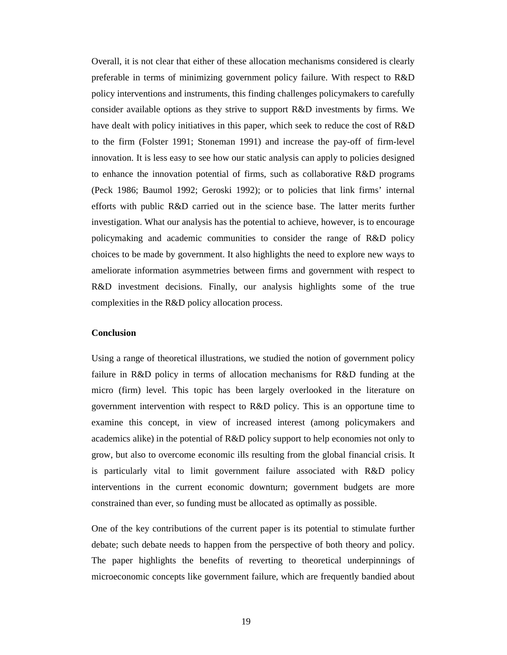Overall, it is not clear that either of these allocation mechanisms considered is clearly preferable in terms of minimizing government policy failure. With respect to R&D policy interventions and instruments, this finding challenges policymakers to carefully consider available options as they strive to support R&D investments by firms. We have dealt with policy initiatives in this paper, which seek to reduce the cost of R&D to the firm (Folster 1991; Stoneman 1991) and increase the pay-off of firm-level innovation. It is less easy to see how our static analysis can apply to policies designed to enhance the innovation potential of firms, such as collaborative R&D programs (Peck 1986; Baumol 1992; Geroski 1992); or to policies that link firms' internal efforts with public R&D carried out in the science base. The latter merits further investigation. What our analysis has the potential to achieve, however, is to encourage policymaking and academic communities to consider the range of R&D policy choices to be made by government. It also highlights the need to explore new ways to ameliorate information asymmetries between firms and government with respect to R&D investment decisions. Finally, our analysis highlights some of the true complexities in the R&D policy allocation process.

# **Conclusion**

Using a range of theoretical illustrations, we studied the notion of government policy failure in R&D policy in terms of allocation mechanisms for R&D funding at the micro (firm) level. This topic has been largely overlooked in the literature on government intervention with respect to R&D policy. This is an opportune time to examine this concept, in view of increased interest (among policymakers and academics alike) in the potential of R&D policy support to help economies not only to grow, but also to overcome economic ills resulting from the global financial crisis. It is particularly vital to limit government failure associated with R&D policy interventions in the current economic downturn; government budgets are more constrained than ever, so funding must be allocated as optimally as possible.

One of the key contributions of the current paper is its potential to stimulate further debate; such debate needs to happen from the perspective of both theory and policy. The paper highlights the benefits of reverting to theoretical underpinnings of microeconomic concepts like government failure, which are frequently bandied about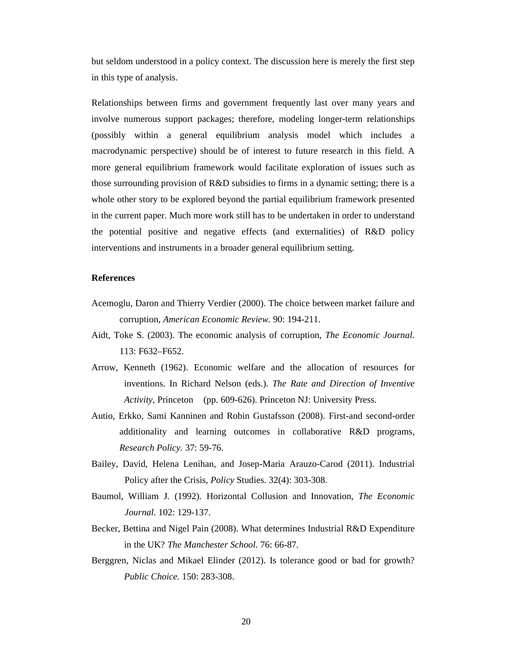but seldom understood in a policy context. The discussion here is merely the first step in this type of analysis.

Relationships between firms and government frequently last over many years and involve numerous support packages; therefore, modeling longer-term relationships (possibly within a general equilibrium analysis model which includes a macrodynamic perspective) should be of interest to future research in this field. A more general equilibrium framework would facilitate exploration of issues such as those surrounding provision of R&D subsidies to firms in a dynamic setting; there is a whole other story to be explored beyond the partial equilibrium framework presented in the current paper. Much more work still has to be undertaken in order to understand the potential positive and negative effects (and externalities) of R&D policy interventions and instruments in a broader general equilibrium setting.

## **References**

- Acemoglu, Daron and Thierry Verdier (2000). The choice between market failure and corruption, *American Economic Review.* 90: 194-211.
- Aidt, Toke S. (2003). The economic analysis of corruption, *The Economic Journal.* 113: F632–F652.
- Arrow, Kenneth (1962). Economic welfare and the allocation of resources for inventions. In Richard Nelson (eds.). *The Rate and Direction of Inventive Activity,* Princeton (pp. 609-626). Princeton NJ: University Press.
- Autio, Erkko, Sami Kanninen and Robin Gustafsson (2008). First-and second-order additionality and learning outcomes in collaborative R&D programs, *Research Policy.* 37: 59-76.
- Bailey, David, Helena Lenihan, and Josep-Maria Arauzo-Carod (2011). Industrial Policy after the Crisis, *Policy* Studies. 32(4): 303-308.
- Baumol, William J. (1992). Horizontal Collusion and Innovation, *The Economic Journal*. 102: 129-137.
- Becker, Bettina and Nigel Pain (2008). What determines Industrial R&D Expenditure in the UK? *The Manchester School.* 76: 66-87.
- Berggren, Niclas and Mikael Elinder (2012). Is tolerance good or bad for growth? *Public Choice.* 150: 283-308.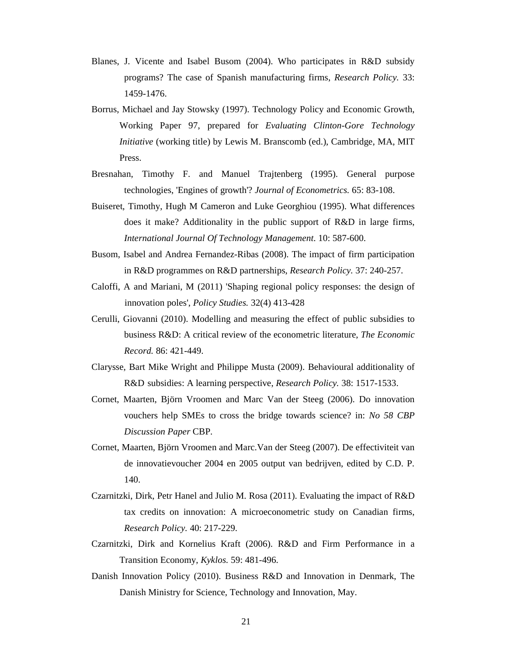- Blanes, J. Vicente and Isabel Busom (2004). Who participates in R&D subsidy programs? The case of Spanish manufacturing firms, *Research Policy.* 33: 1459-1476.
- Borrus, Michael and Jay Stowsky (1997). Technology Policy and Economic Growth, Working Paper 97, prepared for *Evaluating Clinton-Gore Technology Initiative* (working title) by Lewis M. Branscomb (ed.), Cambridge, MA, MIT Press.
- Bresnahan, Timothy F. and Manuel Trajtenberg (1995). General purpose technologies, 'Engines of growth'? *Journal of Econometrics.* 65: 83-108.
- Buiseret, Timothy, Hugh M Cameron and Luke Georghiou (1995). What differences does it make? Additionality in the public support of R&D in large firms, *International Journal Of Technology Management*. 10: 587-600.
- Busom, Isabel and Andrea Fernandez-Ribas (2008). The impact of firm participation in R&D programmes on R&D partnerships, *Research Policy.* 37: 240-257.
- Caloffi, A and Mariani, M (2011) 'Shaping regional policy responses: the design of innovation poles', *Policy Studies.* 32(4) 413-428
- Cerulli, Giovanni (2010). Modelling and measuring the effect of public subsidies to business R&D: A critical review of the econometric literature, *The Economic Record.* 86: 421-449.
- Clarysse, Bart Mike Wright and Philippe Musta (2009). Behavioural additionality of R&D subsidies: A learning perspective, *Research Policy.* 38: 1517-1533.
- Cornet, Maarten, Björn Vroomen and Marc Van der Steeg (2006). Do innovation vouchers help SMEs to cross the bridge towards science? in: *No 58 CBP Discussion Paper* CBP.
- Cornet, Maarten, Björn Vroomen and Marc.Van der Steeg (2007). De effectiviteit van de innovatievoucher 2004 en 2005 output van bedrijven, edited by C.D. P. 140.
- Czarnitzki, Dirk, Petr Hanel and Julio M. Rosa (2011). Evaluating the impact of R&D tax credits on innovation: A microeconometric study on Canadian firms, *Research Policy.* 40: 217-229.
- Czarnitzki, Dirk and Kornelius Kraft (2006). R&D and Firm Performance in a Transition Economy, *Kyklos.* 59: 481-496.
- Danish Innovation Policy (2010). Business R&D and Innovation in Denmark, The Danish Ministry for Science, Technology and Innovation, May.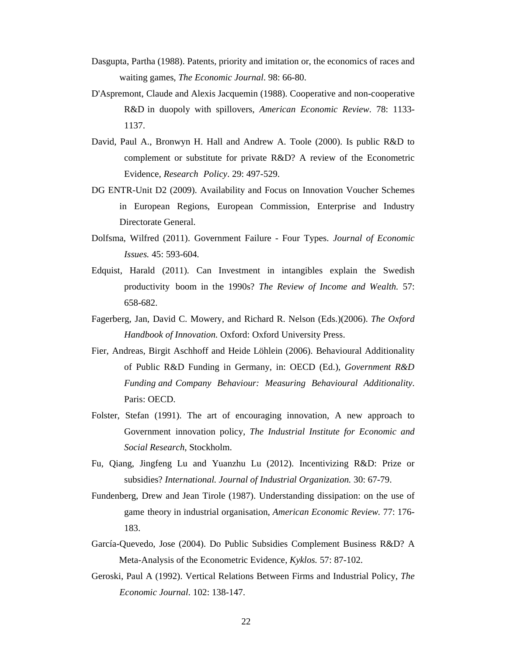- Dasgupta, Partha (1988). Patents, priority and imitation or, the economics of races and waiting games, *The Economic Journal*. 98: 66-80.
- D'Aspremont, Claude and Alexis Jacquemin (1988). Cooperative and non-cooperative R&D in duopoly with spillovers, *American Economic Review.* 78: 1133- 1137.
- David, Paul A., Bronwyn H. Hall and Andrew A. Toole (2000). Is public R&D to complement or substitute for private R&D? A review of the Econometric Evidence, *Research Policy*. 29: 497-529.
- DG ENTR-Unit D2 (2009). Availability and Focus on Innovation Voucher Schemes in European Regions, European Commission, Enterprise and Industry Directorate General.
- Dolfsma, Wilfred (2011). Government Failure Four Types. *Journal of Economic Issues.* 45: 593-604*.*
- Edquist, Harald (2011). Can Investment in intangibles explain the Swedish productivity boom in the 1990s? *The Review of Income and Wealth.* 57: 658-682.
- Fagerberg, Jan, David C. Mowery, and Richard R. Nelson (Eds.)(2006). *The Oxford Handbook of Innovation*. Oxford: Oxford University Press.
- Fier, Andreas, Birgit Aschhoff and Heide Löhlein (2006). Behavioural Additionality of Public R&D Funding in Germany, in: OECD (Ed.), *Government R&D Funding and Company Behaviour: Measuring Behavioural Additionality*. Paris: OECD.
- Folster, Stefan (1991). The art of encouraging innovation, A new approach to Government innovation policy, *The Industrial Institute for Economic and Social Research*, Stockholm.
- Fu, Qiang, Jingfeng Lu and Yuanzhu Lu (2012). Incentivizing R&D: Prize or subsidies? *International. Journal of Industrial Organization.* 30: 67-79.
- Fundenberg, Drew and Jean Tirole (1987). Understanding dissipation: on the use of game theory in industrial organisation, *American Economic Review.* 77: 176- 183.
- García-Quevedo, Jose (2004). Do Public Subsidies Complement Business R&D? A Meta-Analysis of the Econometric Evidence, *Kyklos.* 57: 87-102.
- Geroski, Paul A (1992). Vertical Relations Between Firms and Industrial Policy, *The Economic Journal*. 102: 138-147.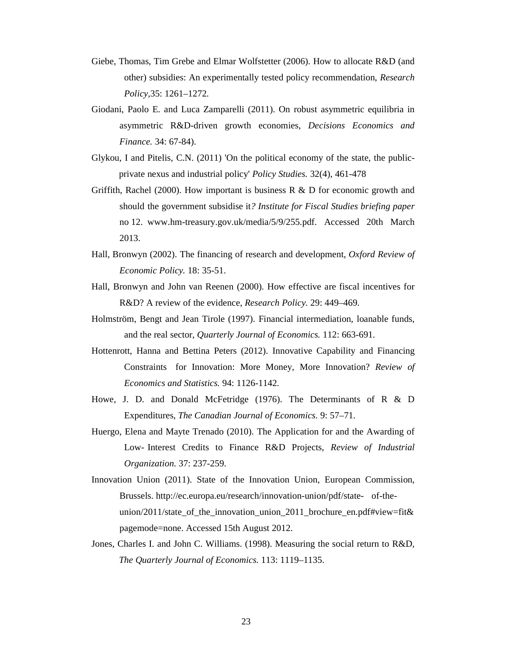- Giebe, Thomas, Tim Grebe and Elmar Wolfstetter (2006). How to allocate R&D (and other) subsidies: An experimentally tested policy recommendation, *Research Policy,*35: 1261–1272.
- Giodani, Paolo E. and Luca Zamparelli (2011). On robust asymmetric equilibria in asymmetric R&D-driven growth economies, *Decisions Economics and Finance.* 34: 67-84).
- Glykou, I and Pitelis, C.N. (2011) 'On the political economy of the state, the publicprivate nexus and industrial policy' *Policy Studies.* 32(4), 461-478
- Griffith, Rachel (2000). How important is business  $R \& D$  for economic growth and should the government subsidise it*? Institute for Fiscal Studies briefing paper* no 12. www.hm-treasury.gov.uk/media/5/9/255.pdf. Accessed 20th March 2013.
- Hall, Bronwyn (2002). The financing of research and development, *Oxford Review of Economic Policy.* 18: 35-51.
- Hall, Bronwyn and John van Reenen (2000). How effective are fiscal incentives for R&D? A review of the evidence, *Research Policy.* 29: 449–469.
- Holmström, Bengt and Jean Tirole (1997). Financial intermediation, loanable funds, and the real sector, *Quarterly Journal of Economics.* 112: 663-691.
- Hottenrott, Hanna and Bettina Peters (2012). Innovative Capability and Financing Constraints for Innovation: More Money, More Innovation? *Review of Economics and Statistics.* 94: 1126-1142.
- Howe, J. D. and Donald McFetridge (1976). The Determinants of R & D Expenditures, *The Canadian Journal of Economics.* 9: 57–71.
- Huergo, Elena and Mayte Trenado (2010). The Application for and the Awarding of Low- Interest Credits to Finance R&D Projects, *Review of Industrial Organization*. 37: 237-259.
- Innovation Union (2011). State of the Innovation Union, European Commission, Brussels. http://ec.europa.eu/research/innovation-union/pdf/state- of-the union/2011/state\_of\_the\_innovation\_union\_2011\_brochure\_en.pdf#view=fit& pagemode=none. Accessed 15th August 2012.
- Jones, Charles I. and John C. Williams. (1998). Measuring the social return to R&D, *The Quarterly Journal of Economics.* 113: 1119–1135.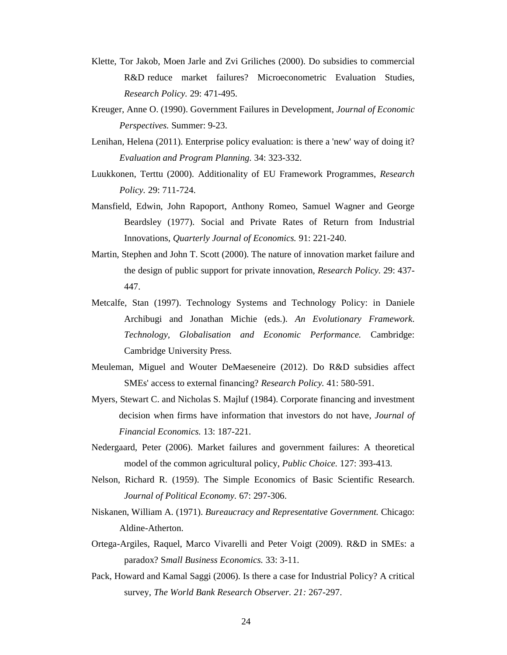- Klette, Tor Jakob, Moen Jarle and Zvi Griliches (2000). Do subsidies to commercial R&D reduce market failures? Microeconometric Evaluation Studies, *Research Policy.* 29: 471-495.
- Kreuger, Anne O. (1990). Government Failures in Development, *Journal of Economic Perspectives.* Summer: 9-23.
- Lenihan, Helena (2011). Enterprise policy evaluation: is there a 'new' way of doing it? *Evaluation and Program Planning.* 34: 323-332.
- Luukkonen, Terttu (2000). Additionality of EU Framework Programmes, *Research Policy.* 29: 711-724.
- Mansfield, Edwin, John Rapoport, Anthony Romeo, Samuel Wagner and George Beardsley (1977). Social and Private Rates of Return from Industrial Innovations, *Quarterly Journal of Economics.* 91: 221-240.
- Martin, Stephen and John T. Scott (2000). The nature of innovation market failure and the design of public support for private innovation, *Research Policy.* 29: 437- 447.
- Metcalfe, Stan (1997). Technology Systems and Technology Policy: in Daniele Archibugi and Jonathan Michie (eds.). *An Evolutionary Framework*. *Technology, Globalisation and Economic Performance.* Cambridge: Cambridge University Press.
- Meuleman, Miguel and Wouter DeMaeseneire (2012). Do R&D subsidies affect SMEs' access to external financing? *Research Policy.* 41: 580-591.
- Myers, Stewart C. and Nicholas S. Majluf (1984). Corporate financing and investment decision when firms have information that investors do not have, *Journal of Financial Economics.* 13: 187-221.
- Nedergaard, Peter (2006). Market failures and government failures: A theoretical model of the common agricultural policy, *Public Choice.* 127: 393-413.
- Nelson, Richard R. (1959). The Simple Economics of Basic Scientific Research. *Journal of Political Economy.* 67: 297-306.
- Niskanen, William A. (1971). *Bureaucracy and Representative Government.* Chicago: Aldine-Atherton.
- Ortega-Argiles, Raquel, Marco Vivarelli and Peter Voigt (2009). R&D in SMEs: a paradox? S*mall Business Economics.* 33: 3-11.
- Pack, Howard and Kamal Saggi (2006). Is there a case for Industrial Policy? A critical survey, *The World Bank Research Observer. 21:* 267-297.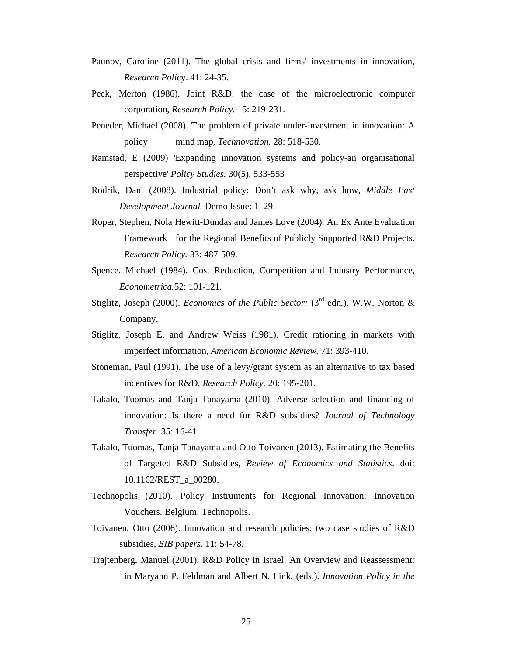- Paunov, Caroline (2011). The global crisis and firms' investments in innovation, *Research Polic*y. 41: 24-35.
- Peck, Merton (1986). Joint R&D: the case of the microelectronic computer corporation, *Research Policy.* 15: 219-231.
- Peneder, Michael (2008). The problem of private under-investment in innovation: A policy mind map, *Technovation.* 28: 518-530.
- Ramstad, E (2009) 'Expanding innovation systems and policy-an organisational perspective' *Policy Studies.* 30(5), 533-553
- Rodrik, Dani (2008). Industrial policy: Don't ask why, ask how, *Middle East Development Journal.* Demo Issue: 1–29.
- Roper, Stephen, Nola Hewitt-Dundas and James Love (2004). An Ex Ante Evaluation Framework for the Regional Benefits of Publicly Supported R&D Projects. *Research Policy.* 33: 487-509.
- Spence. Michael (1984). Cost Reduction, Competition and Industry Performance, *Econometrica.*52: 101-121.
- Stiglitz, Joseph (2000). *Economics of the Public Sector:* (3rd edn.). W.W. Norton & Company.
- Stiglitz, Joseph E. and Andrew Weiss (1981). Credit rationing in markets with imperfect information, *American Economic Review.* 71: 393-410.
- Stoneman, Paul (1991). The use of a levy/grant system as an alternative to tax based incentives for R&D, *Research Policy.* 20: 195-201.
- Takalo, Tuomas and Tanja Tanayama (2010). Adverse selection and financing of innovation: Is there a need for R&D subsidies? *Journal of Technology Transfer.* 35: 16-41.
- Takalo, Tuomas, Tanja Tanayama and Otto Toivanen (2013). Estimating the Benefits of Targeted R&D Subsidies, *Review of Economics and Statistics*. doi: 10.1162/REST\_a\_00280.
- Technopolis (2010). Policy Instruments for Regional Innovation: Innovation Vouchers. Belgium: Technopolis.
- Toivanen, Otto (2006). Innovation and research policies: two case studies of R&D subsidies, *EIB papers.* 11: 54-78.
- Trajtenberg, Manuel (2001). R&D Policy in Israel: An Overview and Reassessment: in Maryann P. Feldman and Albert N. Link, (eds.). *Innovation Policy in the*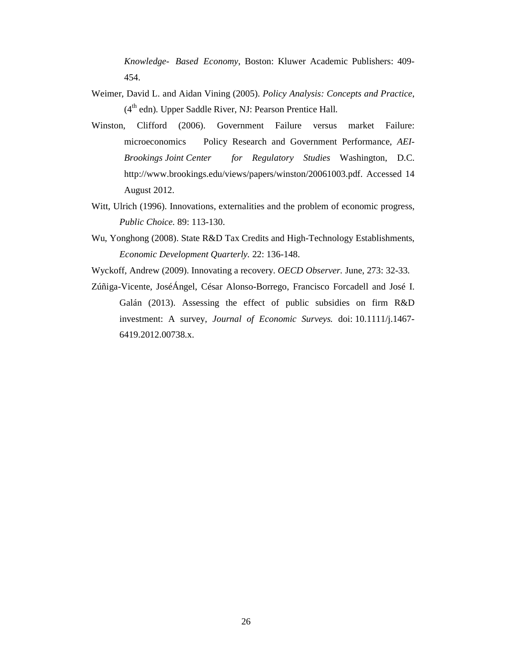*Knowledge- Based Economy*, Boston: Kluwer Academic Publishers: 409- 454.

- Weimer, David L. and Aidan Vining (2005). *Policy Analysis: Concepts and Practice*,  $(4<sup>th</sup>$  edn). Upper Saddle River, NJ: Pearson Prentice Hall.
- Winston, Clifford (2006). Government Failure versus market Failure: microeconomics Policy Research and Government Performance, *AEI-Brookings Joint Center for Regulatory Studies* Washington, D.C. http://www.brookings.edu/views/papers/winston/20061003.pdf. Accessed 14 August 2012.
- Witt, Ulrich (1996). Innovations, externalities and the problem of economic progress, *Public Choice.* 89: 113-130.
- Wu, Yonghong (2008). State R&D Tax Credits and High-Technology Establishments, *Economic Development Quarterly.* 22: 136-148.
- Wyckoff, Andrew (2009). Innovating a recovery. *OECD Observer.* June, 273: 32-33.
- Zúñiga-Vicente, JoséÁngel, César Alonso-Borrego, Francisco Forcadell and José I. Galán (2013). Assessing the effect of public subsidies on firm R&D investment: A survey, *Journal of Economic Surveys.* doi: 10.1111/j.1467- 6419.2012.00738.x.